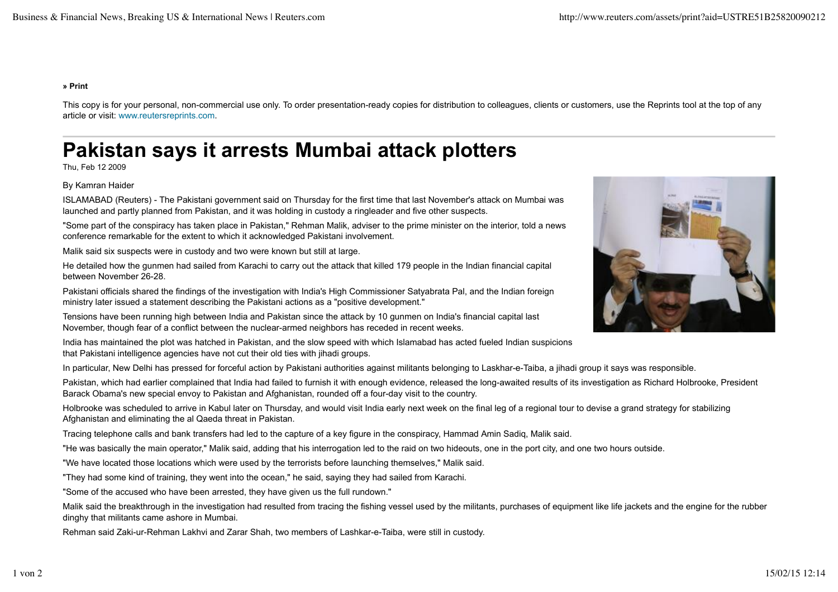## **» Print**

This copy is for your personal, non-commercial use only. To order presentation-ready copies for distribution to colleagues, clients or customers, use the Reprints tool at the top of any article or visit: www.reutersreprints.com.

## **Pakistan says it arrests Mumbai attack plotters**

Thu, Feb 12 2009

## By Kamran Haider

ISLAMABAD (Reuters) - The Pakistani government said on Thursday for the first time that last November's attack on Mumbai was launched and partly planned from Pakistan, and it was holding in custody a ringleader and five other suspects.

"Some part of the conspiracy has taken place in Pakistan," Rehman Malik, adviser to the prime minister on the interior, told a news conference remarkable for the extent to which it acknowledged Pakistani involvement.

Malik said six suspects were in custody and two were known but still at large.

He detailed how the gunmen had sailed from Karachi to carry out the attack that killed 179 people in the Indian financial capital between November 26-28.

Pakistani officials shared the findings of the investigation with India's High Commissioner Satyabrata Pal, and the Indian foreign ministry later issued a statement describing the Pakistani actions as a "positive development."

Tensions have been running high between India and Pakistan since the attack by 10 gunmen on India's financial capital last November, though fear of a conflict between the nuclear-armed neighbors has receded in recent weeks.

India has maintained the plot was hatched in Pakistan, and the slow speed with which Islamabad has acted fueled Indian suspicions that Pakistani intelligence agencies have not cut their old ties with jihadi groups.

In particular, New Delhi has pressed for forceful action by Pakistani authorities against militants belonging to Laskhar-e-Taiba, a jihadi group it says was responsible.

Pakistan, which had earlier complained that India had failed to furnish it with enough evidence, released the long-awaited results of its investigation as Richard Holbrooke, President Barack Obama's new special envoy to Pakistan and Afghanistan, rounded off a four-day visit to the country.

Holbrooke was scheduled to arrive in Kabul later on Thursday, and would visit India early next week on the final leg of a regional tour to devise a grand strategy for stabilizing Afghanistan and eliminating the al Qaeda threat in Pakistan.

Tracing telephone calls and bank transfers had led to the capture of a key figure in the conspiracy, Hammad Amin Sadiq, Malik said.

"He was basically the main operator," Malik said, adding that his interrogation led to the raid on two hideouts, one in the port city, and one two hours outside.

"We have located those locations which were used by the terrorists before launching themselves," Malik said.

"They had some kind of training, they went into the ocean," he said, saying they had sailed from Karachi.

"Some of the accused who have been arrested, they have given us the full rundown."

Malik said the breakthrough in the investigation had resulted from tracing the fishing vessel used by the militants, purchases of equipment like life jackets and the engine for the rubber dinghy that militants came ashore in Mumbai.

Rehman said Zaki-ur-Rehman Lakhvi and Zarar Shah, two members of Lashkar-e-Taiba, were still in custody.